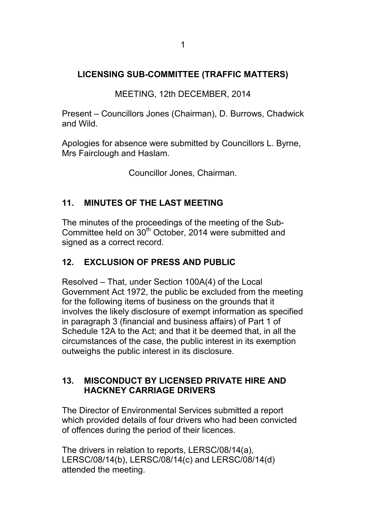## **LICENSING SUB-COMMITTEE (TRAFFIC MATTERS)**

MEETING, 12th DECEMBER, 2014

Present – Councillors Jones (Chairman), D. Burrows, Chadwick and Wild.

Apologies for absence were submitted by Councillors L. Byrne, Mrs Fairclough and Haslam.

Councillor Jones, Chairman.

## **11. MINUTES OF THE LAST MEETING**

The minutes of the proceedings of the meeting of the Sub-Committee held on 30<sup>th</sup> October, 2014 were submitted and signed as a correct record.

## **12. EXCLUSION OF PRESS AND PUBLIC**

Resolved – That, under Section 100A(4) of the Local Government Act 1972, the public be excluded from the meeting for the following items of business on the grounds that it involves the likely disclosure of exempt information as specified in paragraph 3 (financial and business affairs) of Part 1 of Schedule 12A to the Act; and that it be deemed that, in all the circumstances of the case, the public interest in its exemption outweighs the public interest in its disclosure.

## **13. MISCONDUCT BY LICENSED PRIVATE HIRE AND HACKNEY CARRIAGE DRIVERS**

The Director of Environmental Services submitted a report which provided details of four drivers who had been convicted of offences during the period of their licences.

The drivers in relation to reports, LERSC/08/14(a), LERSC/08/14(b), LERSC/08/14(c) and LERSC/08/14(d) attended the meeting.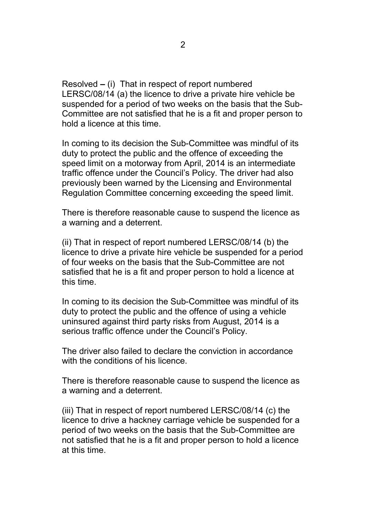Resolved **–** (i) That in respect of report numbered LERSC/08/14 (a) the licence to drive a private hire vehicle be suspended for a period of two weeks on the basis that the Sub-Committee are not satisfied that he is a fit and proper person to hold a licence at this time.

In coming to its decision the Sub-Committee was mindful of its duty to protect the public and the offence of exceeding the speed limit on a motorway from April, 2014 is an intermediate traffic offence under the Council's Policy. The driver had also previously been warned by the Licensing and Environmental Regulation Committee concerning exceeding the speed limit.

There is therefore reasonable cause to suspend the licence as a warning and a deterrent.

(ii) That in respect of report numbered LERSC/08/14 (b) the licence to drive a private hire vehicle be suspended for a period of four weeks on the basis that the Sub-Committee are not satisfied that he is a fit and proper person to hold a licence at this time.

In coming to its decision the Sub-Committee was mindful of its duty to protect the public and the offence of using a vehicle uninsured against third party risks from August, 2014 is a serious traffic offence under the Council's Policy.

The driver also failed to declare the conviction in accordance with the conditions of his licence.

There is therefore reasonable cause to suspend the licence as a warning and a deterrent.

(iii) That in respect of report numbered LERSC/08/14 (c) the licence to drive a hackney carriage vehicle be suspended for a period of two weeks on the basis that the Sub-Committee are not satisfied that he is a fit and proper person to hold a licence at this time.